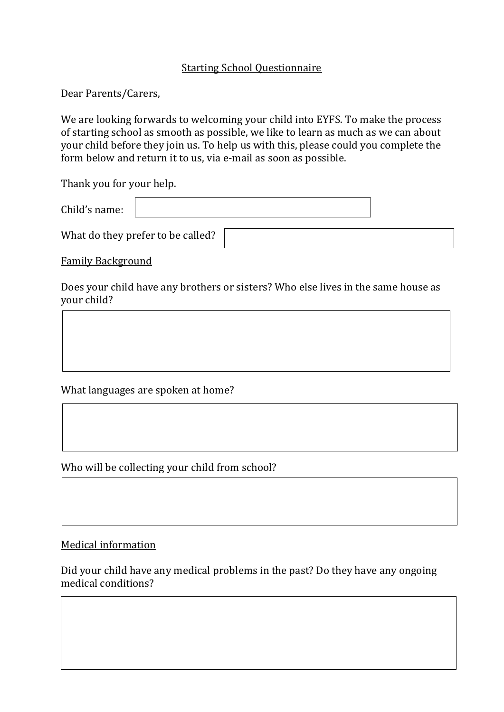## Starting School Questionnaire

Dear Parents/Carers,

We are looking forwards to welcoming your child into EYFS. To make the process of starting school as smooth as possible, we like to learn as much as we can about your child before they join us. To help us with this, please could you complete the form below and return it to us, via e-mail as soon as possible.

Thank you for your help.

| Child's name: |  |  |
|---------------|--|--|
|---------------|--|--|

What do they prefer to be called?

Family Background

Does your child have any brothers or sisters? Who else lives in the same house as your child?

What languages are spoken at home?

Who will be collecting your child from school?

Medical information

 $\overline{\phantom{a}}$  $\overline{\phantom{a}}$ 

ſ

Did your child have any medical problems in the past? Do they have any ongoing medical conditions?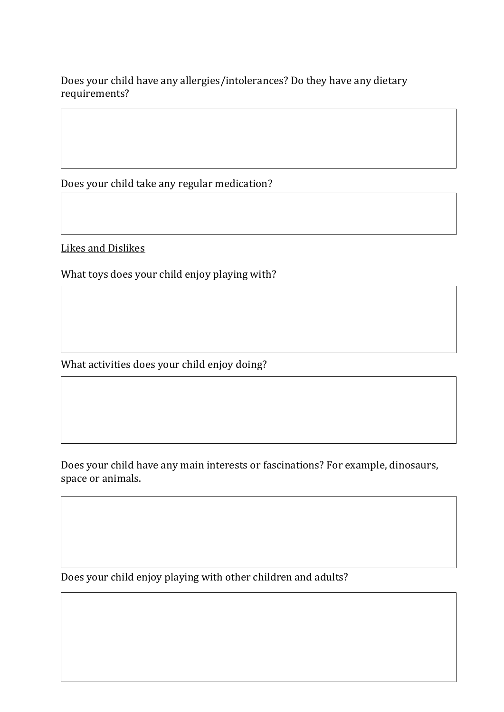Does your child have any allergies/intolerances? Do they have any dietary requirements?

Does your child take any regular medication?

Likes and Dislikes

What toys does your child enjoy playing with?

What activities does your child enjoy doing?

Does your child have any main interests or fascinations? For example, dinosaurs, space or animals.

Does your child enjoy playing with other children and adults?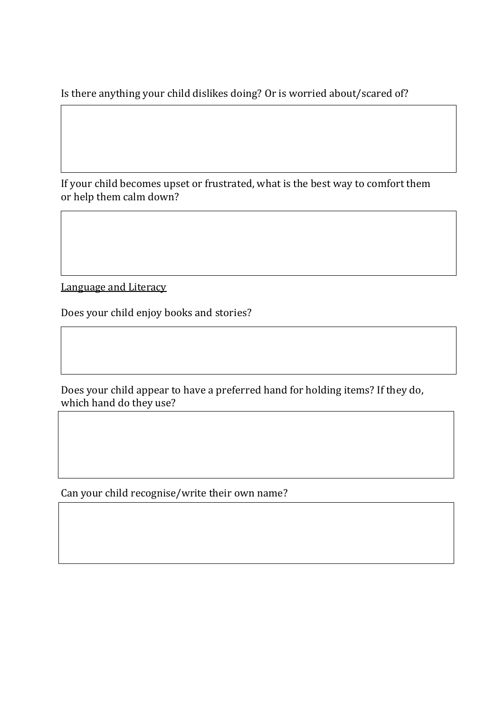Is there anything your child dislikes doing? Or is worried about/scared of?

If your child becomes upset or frustrated, what is the best way to comfort them or help them calm down?

Language and Literacy

Does your child enjoy books and stories?

Does your child appear to have a preferred hand for holding items? If they do, which hand do they use?

Can your child recognise/write their own name?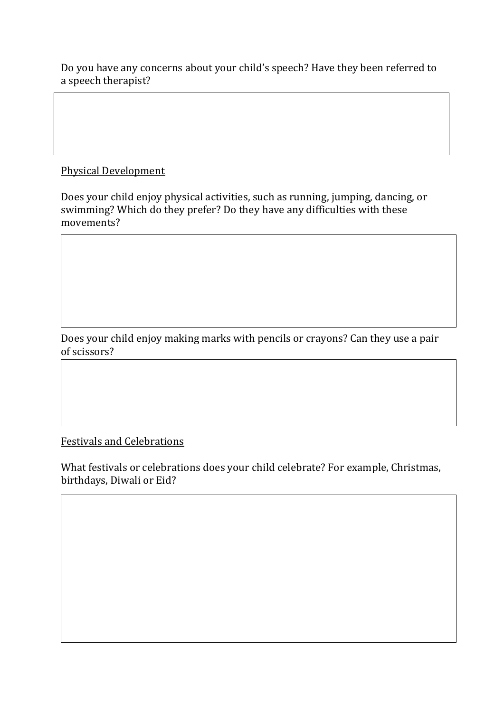Do you have any concerns about your child's speech? Have they been referred to a speech therapist?

## Physical Development

Does your child enjoy physical activities, such as running, jumping, dancing, or swimming? Which do they prefer? Do they have any difficulties with these movements?

Does your child enjoy making marks with pencils or crayons? Can they use a pair of scissors?

Festivals and Celebrations

What festivals or celebrations does your child celebrate? For example, Christmas, birthdays, Diwali or Eid?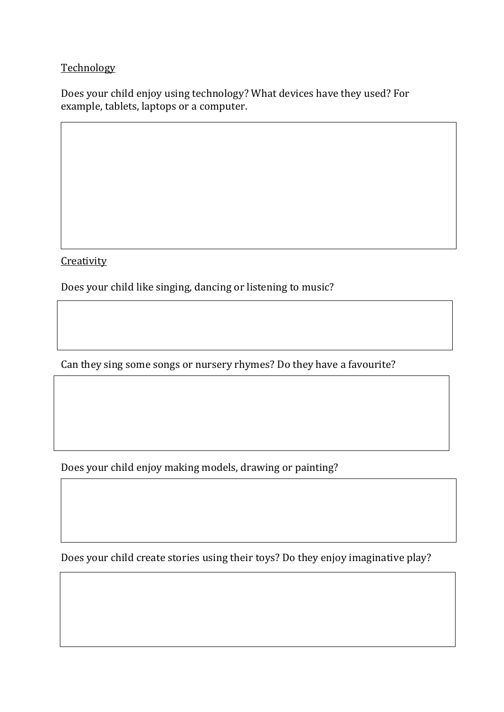## **Technology**

Does your child enjoy using technology? What devices have they used? For example, tablets, laptops or a computer.

**Creativity** 

Does your child like singing, dancing or listening to music?

Can they sing some songs or nursery rhymes? Do they have a favourite?

Does your child enjoy making models, drawing or painting?

Does your child create stories using their toys? Do they enjoy imaginative play?